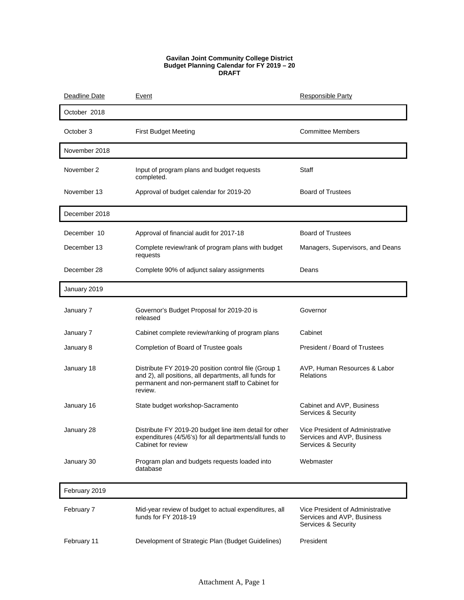## **Gavilan Joint Community College District Budget Planning Calendar for FY 2019 – 20 DRAFT**

| Deadline Date | Event                                                                                                                                                                        | Responsible Party                                                                     |
|---------------|------------------------------------------------------------------------------------------------------------------------------------------------------------------------------|---------------------------------------------------------------------------------------|
| October 2018  |                                                                                                                                                                              |                                                                                       |
| October 3     | <b>First Budget Meeting</b>                                                                                                                                                  | <b>Committee Members</b>                                                              |
| November 2018 |                                                                                                                                                                              |                                                                                       |
| November 2    | Input of program plans and budget requests<br>completed.                                                                                                                     | Staff                                                                                 |
| November 13   | Approval of budget calendar for 2019-20                                                                                                                                      | <b>Board of Trustees</b>                                                              |
| December 2018 |                                                                                                                                                                              |                                                                                       |
| December 10   | Approval of financial audit for 2017-18                                                                                                                                      | <b>Board of Trustees</b>                                                              |
| December 13   | Complete review/rank of program plans with budget<br>requests                                                                                                                | Managers, Supervisors, and Deans                                                      |
| December 28   | Complete 90% of adjunct salary assignments                                                                                                                                   | Deans                                                                                 |
| January 2019  |                                                                                                                                                                              |                                                                                       |
| January 7     | Governor's Budget Proposal for 2019-20 is<br>released                                                                                                                        | Governor                                                                              |
| January 7     | Cabinet complete review/ranking of program plans                                                                                                                             | Cabinet                                                                               |
| January 8     | Completion of Board of Trustee goals                                                                                                                                         | President / Board of Trustees                                                         |
| January 18    | Distribute FY 2019-20 position control file (Group 1<br>and 2), all positions, all departments, all funds for<br>permanent and non-permanent staff to Cabinet for<br>review. | AVP, Human Resources & Labor<br><b>Relations</b>                                      |
| January 16    | State budget workshop-Sacramento                                                                                                                                             | Cabinet and AVP, Business<br>Services & Security                                      |
| January 28    | Distribute FY 2019-20 budget line item detail for other<br>expenditures (4/5/6's) for all departments/all funds to<br>Cabinet for review                                     | Vice President of Administrative<br>Services and AVP, Business<br>Services & Security |
| January 30    | Program plan and budgets requests loaded into<br>database                                                                                                                    | Webmaster                                                                             |
| February 2019 |                                                                                                                                                                              |                                                                                       |
| February 7    | Mid-year review of budget to actual expenditures, all<br>funds for FY 2018-19                                                                                                | Vice President of Administrative<br>Services and AVP, Business<br>Services & Security |
| February 11   | Development of Strategic Plan (Budget Guidelines)                                                                                                                            | President                                                                             |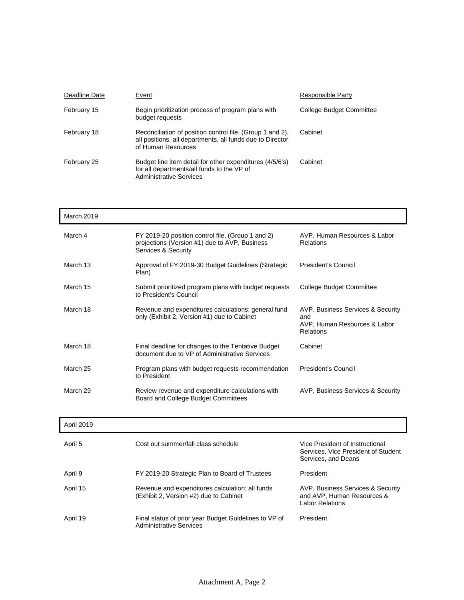| Deadline Date | Event                                                                                                                                        | Responsible Party        |
|---------------|----------------------------------------------------------------------------------------------------------------------------------------------|--------------------------|
| February 15   | Begin prioritization process of program plans with<br>budget requests                                                                        | College Budget Committee |
| February 18   | Reconciliation of position control file, (Group 1 and 2),<br>all positions, all departments, all funds due to Director<br>of Human Resources | Cabinet                  |
| February 25   | Budget line item detail for other expenditures (4/5/6's)<br>for all departments/all funds to the VP of<br><b>Administrative Services</b>     | Cabinet                  |

| March 2019 |                                                                                                                           |                                                                                       |
|------------|---------------------------------------------------------------------------------------------------------------------------|---------------------------------------------------------------------------------------|
| March 4    | FY 2019-20 position control file, (Group 1 and 2)<br>projections (Version #1) due to AVP, Business<br>Services & Security | AVP, Human Resources & Labor<br><b>Relations</b>                                      |
| March 13   | Approval of FY 2019-30 Budget Guidelines (Strategic<br>Plan)                                                              | President's Council                                                                   |
| March 15   | Submit prioritized program plans with budget requests<br>to President's Council                                           | College Budget Committee                                                              |
| March 18   | Revenue and expenditures calculations; general fund<br>only (Exhibit 2, Version #1) due to Cabinet                        | AVP, Business Services & Security<br>and<br>AVP, Human Resources & Labor<br>Relations |
| March 18   | Final deadline for changes to the Tentative Budget<br>document due to VP of Administrative Services                       | Cabinet                                                                               |
| March 25   | Program plans with budget requests recommendation<br>to President                                                         | President's Council                                                                   |
| March 29   | Review revenue and expenditure calculations with<br>Board and College Budget Committees                                   | AVP, Business Services & Security                                                     |
| April 2019 |                                                                                                                           |                                                                                       |

| April 5  | Cost out summer/fall class schedule                                                       | Vice President of Instructional<br>Services, Vice President of Student<br>Services, and Deans |
|----------|-------------------------------------------------------------------------------------------|-----------------------------------------------------------------------------------------------|
| April 9  | FY 2019-20 Strategic Plan to Board of Trustees                                            | President                                                                                     |
| April 15 | Revenue and expenditures calculation; all funds<br>(Exhibit 2, Version #2) due to Cabinet | AVP, Business Services & Security<br>and AVP, Human Resources &<br><b>Labor Relations</b>     |
| April 19 | Final status of prior year Budget Guidelines to VP of<br><b>Administrative Services</b>   | President                                                                                     |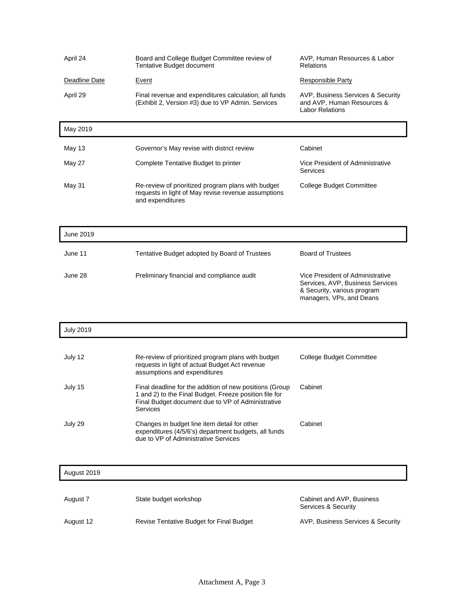| April 24         | Board and College Budget Committee review of<br>Tentative Budget document                                                                                                          | AVP, Human Resources & Labor<br><b>Relations</b>                                                                                |
|------------------|------------------------------------------------------------------------------------------------------------------------------------------------------------------------------------|---------------------------------------------------------------------------------------------------------------------------------|
| Deadline Date    | Event                                                                                                                                                                              | <b>Responsible Party</b>                                                                                                        |
| April 29         | Final revenue and expenditures calculation; all funds<br>(Exhibit 2, Version #3) due to VP Admin. Services                                                                         | AVP, Business Services & Security<br>and AVP, Human Resources &<br><b>Labor Relations</b>                                       |
| May 2019         |                                                                                                                                                                                    |                                                                                                                                 |
| <b>May 13</b>    | Governor's May revise with district review                                                                                                                                         | Cabinet                                                                                                                         |
| May 27           | Complete Tentative Budget to printer                                                                                                                                               | Vice President of Administrative<br>Services                                                                                    |
| May 31           | Re-review of prioritized program plans with budget<br>requests in light of May revise revenue assumptions<br>and expenditures                                                      | <b>College Budget Committee</b>                                                                                                 |
|                  |                                                                                                                                                                                    |                                                                                                                                 |
| June 2019        |                                                                                                                                                                                    |                                                                                                                                 |
| June 11          | Tentative Budget adopted by Board of Trustees                                                                                                                                      | <b>Board of Trustees</b>                                                                                                        |
| June 28          | Preliminary financial and compliance audit                                                                                                                                         | Vice President of Administrative<br>Services, AVP, Business Services<br>& Security, various program<br>managers, VPs, and Deans |
| <b>July 2019</b> |                                                                                                                                                                                    |                                                                                                                                 |
|                  |                                                                                                                                                                                    |                                                                                                                                 |
| July 12          | Re-review of prioritized program plans with budget<br>requests in light of actual Budget Act revenue<br>assumptions and expenditures                                               | <b>College Budget Committee</b>                                                                                                 |
| July 15          | Final deadline for the addition of new positions (Group<br>1 and 2) to the Final Budget. Freeze position file for<br>Final Budget document due to VP of Administrative<br>Services | Cabinet                                                                                                                         |
| July 29          | Changes in budget line item detail for other<br>expenditures (4/5/6's) department budgets, all funds<br>due to VP of Administrative Services                                       | Cabinet                                                                                                                         |
| August 2019      |                                                                                                                                                                                    |                                                                                                                                 |
|                  |                                                                                                                                                                                    |                                                                                                                                 |
| August 7         | State budget workshop                                                                                                                                                              | Cabinet and AVP, Business<br>Services & Security                                                                                |
| August 12        | Revise Tentative Budget for Final Budget                                                                                                                                           | AVP, Business Services & Security                                                                                               |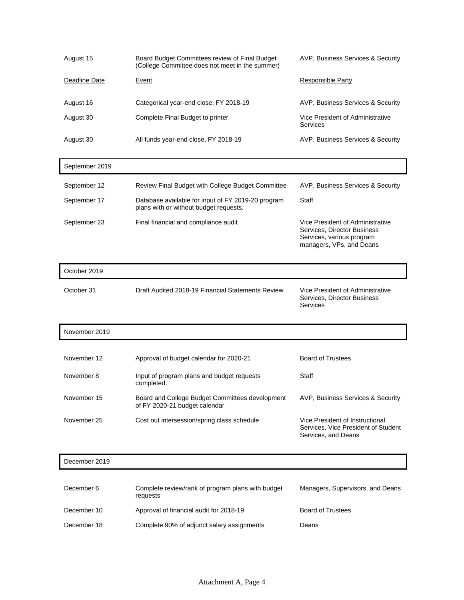| August 15     | Board Budget Committees review of Final Budget<br>(College Committee does not meet in the summer) | AVP, Business Services & Security            |
|---------------|---------------------------------------------------------------------------------------------------|----------------------------------------------|
| Deadline Date | Event                                                                                             | Responsible Party                            |
| August 16     | Categorical year-end close, FY 2018-19                                                            | AVP, Business Services & Security            |
| August 30     | Complete Final Budget to printer                                                                  | Vice President of Administrative<br>Services |
| August 30     | All funds year-end close, FY 2018-19                                                              | AVP, Business Services & Security            |

| September 2019 |                                                                                              |                                                                                                                          |
|----------------|----------------------------------------------------------------------------------------------|--------------------------------------------------------------------------------------------------------------------------|
| September 12   | Review Final Budget with College Budget Committee                                            | AVP, Business Services & Security                                                                                        |
| September 17   | Database available for input of FY 2019-20 program<br>plans with or without budget requests. | Staff                                                                                                                    |
| September 23   | Final financial and compliance audit                                                         | Vice President of Administrative<br>Services, Director Business<br>Services, various program<br>managers, VPs, and Deans |

| October 2019 |                                                   |                                                                             |
|--------------|---------------------------------------------------|-----------------------------------------------------------------------------|
| October 31   | Draft Audited 2018-19 Financial Statements Review | Vice President of Administrative<br>Services, Director Business<br>Services |

| November 2019 |                                                                                  |                                                                                               |
|---------------|----------------------------------------------------------------------------------|-----------------------------------------------------------------------------------------------|
|               |                                                                                  |                                                                                               |
| November 12   | Approval of budget calendar for 2020-21                                          | <b>Board of Trustees</b>                                                                      |
| November 8    | Input of program plans and budget requests<br>completed.                         | Staff                                                                                         |
| November 15   | Board and College Budget Committees development<br>of FY 2020-21 budget calendar | AVP, Business Services & Security                                                             |
| November 25   | Cost out intersession/spring class schedule                                      | Vice President of Instructional<br>Services, Vice President of Student<br>Services, and Deans |

| December 2019 |                                                               |                                  |
|---------------|---------------------------------------------------------------|----------------------------------|
| December 6    | Complete review/rank of program plans with budget<br>requests | Managers, Supervisors, and Deans |
| December 10   | Approval of financial audit for 2018-19                       | <b>Board of Trustees</b>         |
| December 18   | Complete 90% of adjunct salary assignments                    | Deans                            |